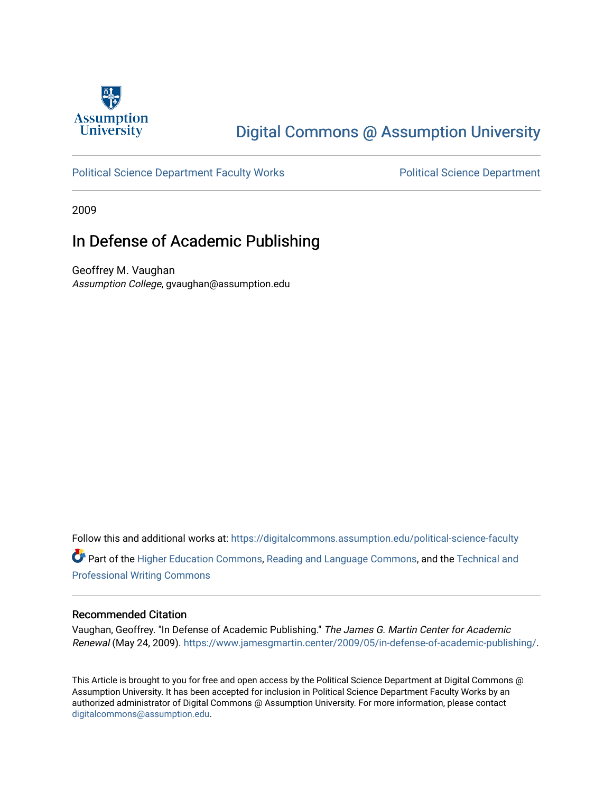

# [Digital Commons @ Assumption University](https://digitalcommons.assumption.edu/)

### [Political Science Department Faculty Works](https://digitalcommons.assumption.edu/political-science-faculty) [Political Science Department](https://digitalcommons.assumption.edu/political-science)

2009

# In Defense of Academic Publishing

Geoffrey M. Vaughan Assumption College, gvaughan@assumption.edu

Follow this and additional works at: [https://digitalcommons.assumption.edu/political-science-faculty](https://digitalcommons.assumption.edu/political-science-faculty?utm_source=digitalcommons.assumption.edu%2Fpolitical-science-faculty%2F36&utm_medium=PDF&utm_campaign=PDFCoverPages) Part of the [Higher Education Commons,](http://network.bepress.com/hgg/discipline/1245?utm_source=digitalcommons.assumption.edu%2Fpolitical-science-faculty%2F36&utm_medium=PDF&utm_campaign=PDFCoverPages) [Reading and Language Commons](http://network.bepress.com/hgg/discipline/1037?utm_source=digitalcommons.assumption.edu%2Fpolitical-science-faculty%2F36&utm_medium=PDF&utm_campaign=PDFCoverPages), and the [Technical and](http://network.bepress.com/hgg/discipline/1347?utm_source=digitalcommons.assumption.edu%2Fpolitical-science-faculty%2F36&utm_medium=PDF&utm_campaign=PDFCoverPages) [Professional Writing Commons](http://network.bepress.com/hgg/discipline/1347?utm_source=digitalcommons.assumption.edu%2Fpolitical-science-faculty%2F36&utm_medium=PDF&utm_campaign=PDFCoverPages)

### Recommended Citation

Vaughan, Geoffrey. "In Defense of Academic Publishing." The James G. Martin Center for Academic Renewal (May 24, 2009). <https://www.jamesgmartin.center/2009/05/in-defense-of-academic-publishing/>.

This Article is brought to you for free and open access by the Political Science Department at Digital Commons @ Assumption University. It has been accepted for inclusion in Political Science Department Faculty Works by an authorized administrator of Digital Commons @ Assumption University. For more information, please contact [digitalcommons@assumption.edu](mailto:digitalcommons@assumption.edu).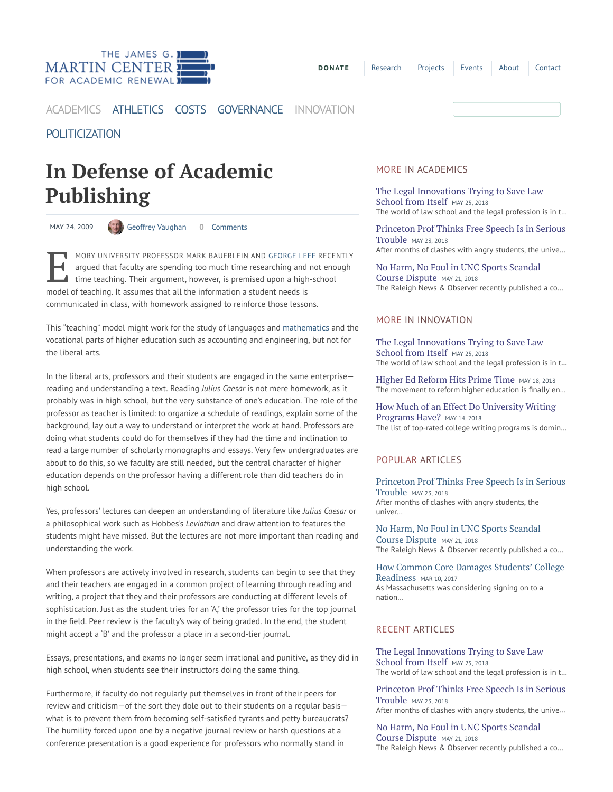

**[DONATE](https://jamesgmartincenter.networkforgood.com/projects/40650-annual-fund-2018)** [Research](https://www.jamesgmartin.center/topic/research/) [Projects](https://www.jamesgmartin.center/projects/) [Events](https://www.jamesgmartin.center/events/) [About](https://www.jamesgmartin.center/about/) [Contact](https://www.jamesgmartin.center/contact/)

## [ACADEMICS](https://www.jamesgmartin.center/topic/academics/) [ATHLETICS](https://www.jamesgmartin.center/topic/athletics/) [COSTS](https://www.jamesgmartin.center/topic/costs/) [GOVERNANCE](https://www.jamesgmartin.center/topic/governance/) [INNOVATION](https://www.jamesgmartin.center/topic/innovation/)

# [POLITICIZATION](https://www.jamesgmartin.center/topic/politicization/)

# In Defense of Academic Publishing

MAY 24, 2009 (4) Geoffrey [Vaughan](https://www.jamesgmartin.center/author/geoffreyvaughan/) 0 Comments

MORY UNIVERSITY PROFESSOR MARK BAUERLEIN AND GEORGE LEE argued that faculty are spending too much time researching and it time teaching. Their argument, however, is premised upon a high model of teaching. It assumes that a MORY UNIVERSITY PROFESSOR MARK BAUERLEIN AND [GEORGE](http://popecenter.org/clarion_call/article.html?id=2165) LEEF RECENTLY argued that faculty are spending too much time researching and not enough time teaching. Their argument, however, is premised upon a high-school communicated in class, with homework assigned to reinforce those lessons.

This "teaching" model might work for the study of languages and [mathematics](http://www.popecenter.org/clarion_call/article.html?id=2155) and the vocational parts of higher education such as accounting and engineering, but not for the liberal arts.

In the liberal arts, professors and their students are engaged in the same enterprise reading and understanding a text. Reading Julius Caesar is not mere homework, as it probably was in high school, but the very substance of one's education. The role of the professor as teacher is limited: to organize a schedule of readings, explain some of the background, lay out a way to understand or interpret the work at hand. Professors are doing what students could do for themselves if they had the time and inclination to read a large number of scholarly monographs and essays. Very few undergraduates are about to do this, so we faculty are still needed, but the central character of higher education depends on the professor having a different role than did teachers do in high school.

Yes, professors' lectures can deepen an understanding of literature like Julius Caesar or a philosophical work such as Hobbes's Leviathan and draw attention to features the students might have missed. But the lectures are not more important than reading and understanding the work.

When professors are actively involved in research, students can begin to see that they and their teachers are engaged in a common project of learning through reading and writing, a project that they and their professors are conducting at different levels of sophistication. Just as the student tries for an 'A,' the professor tries for the top journal in the field. Peer review is the faculty's way of being graded. In the end, the student might accept a 'B' and the professor a place in a second-tier journal.

Essays, presentations, and exams no longer seem irrational and punitive, as they did in high school, when students see their instructors doing the same thing.

Furthermore, if faculty do not regularly put themselves in front of their peers for review and criticism—of the sort they dole out to their students on a regular basis what is to prevent them from becoming self-satisfied tyrants and petty bureaucrats? The humility forced upon one by a negative journal review or harsh questions at a conference presentation is a good experience for professors who normally stand in

#### MORE IN [ACADEMICS](https://www.jamesgmartin.center/topic/academics/)

The Legal [Innovations](https://www.jamesgmartin.center/2018/05/the-legal-innovations-trying-to-save-law-school-from-itself/) Trying to Save Law School from Itself MAY 25, 2018 The world of law school and the legal profession is in t…

Princeton [Prof Thinks](https://www.jamesgmartin.center/2018/05/princeton-prof-thinks-free-speech-is-in-serious-trouble/) Free Speech Is in Serious Trouble MAY 23, <sup>2018</sup> After months of clashes with angry students, the unive…

No Harm, No Foul in UNC Sports [Scandal](https://www.jamesgmartin.center/2018/05/no-harm-no-foul-in-unc-sports-scandal-course-dispute/) Course Dispute MAY 21, <sup>2018</sup> The Raleigh News & Observer recently published a co…

### MORE IN [INNOVATION](https://www.jamesgmartin.center/topic/innovation/)

The Legal [Innovations](https://www.jamesgmartin.center/2018/05/the-legal-innovations-trying-to-save-law-school-from-itself/) Trying to Save Law School from Itself MAY 25, 2018 The world of law school and the legal profession is in t…

Higher Ed [Reform](https://www.jamesgmartin.center/2018/05/higher-ed-reform-hits-prime-time/) Hits Prime Time MAY 18, 2018 The movement to reform higher education is finally en...

How Much of an Effect Do [University](https://www.jamesgmartin.center/2018/05/how-much-of-an-effect-do-university-writing-programs-have/) Writing Programs Have? MAY 14, 2018 The list of top-rated college writing programs is domin…

### POPULAR ARTICLES

Princeton [Prof Thinks](https://www.jamesgmartin.center/2018/05/princeton-prof-thinks-free-speech-is-in-serious-trouble/) Free Speech Is in Serious Trouble MAY 23, <sup>2018</sup> After months of clashes with angry students, the univer...

No Harm, No Foul in UNC Sports Scandal Course [Dispute](https://www.jamesgmartin.center/2018/05/no-harm-no-foul-in-unc-sports-scandal-course-dispute/) MAY 21, <sup>2018</sup> The Raleigh News & Observer recently published a co...

How Common Core Damages Students' College [Readiness](https://www.jamesgmartin.center/2017/03/common-core-damages-students-college-readiness/) MAR 10, 2017 As Massachusetts was considering signing on to a nation...

### RECENT ARTICLES

The Legal [Innovations](https://www.jamesgmartin.center/2018/05/the-legal-innovations-trying-to-save-law-school-from-itself/) Trying to Save Law School from Itself MAY 25, 2018 The world of law school and the legal profession is in t…

Princeton [Prof Thinks](https://www.jamesgmartin.center/2018/05/princeton-prof-thinks-free-speech-is-in-serious-trouble/) Free Speech Is in Serious Trouble MAY 23, <sup>2018</sup> After months of clashes with angry students, the unive…

No Harm, No Foul in UNC Sports Scandal Course [Dispute](https://www.jamesgmartin.center/2018/05/no-harm-no-foul-in-unc-sports-scandal-course-dispute/) MAY 21, <sup>2018</sup> The Raleigh News & Observer recently published a co…